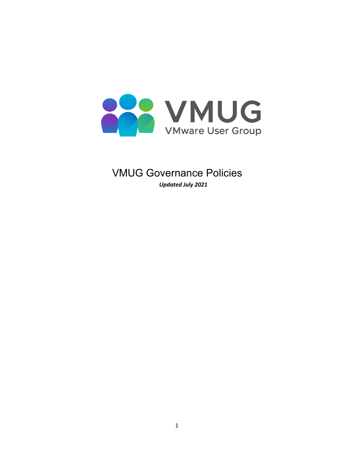

VMUG Governance Policies *Updated July 2021*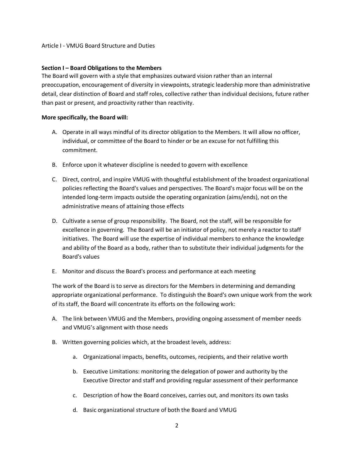#### Article I - VMUG Board Structure and Duties

#### **Section I – Board Obligations to the Members**

The Board will govern with a style that emphasizes outward vision rather than an internal preoccupation, encouragement of diversity in viewpoints, strategic leadership more than administrative detail, clear distinction of Board and staff roles, collective rather than individual decisions, future rather than past or present, and proactivity rather than reactivity.

#### **More specifically, the Board will:**

- A. Operate in all ways mindful of its director obligation to the Members. It will allow no officer, individual, or committee of the Board to hinder or be an excuse for not fulfilling this commitment.
- B. Enforce upon it whatever discipline is needed to govern with excellence
- C. Direct, control, and inspire VMUG with thoughtful establishment of the broadest organizational policies reflecting the Board's values and perspectives. The Board's major focus will be on the intended long-term impacts outside the operating organization (aims/ends), not on the administrative means of attaining those effects
- D. Cultivate a sense of group responsibility. The Board, not the staff, will be responsible for excellence in governing. The Board will be an initiator of policy, not merely a reactor to staff initiatives. The Board will use the expertise of individual members to enhance the knowledge and ability of the Board as a body, rather than to substitute their individual judgments for the Board's values
- E. Monitor and discuss the Board's process and performance at each meeting

The work of the Board is to serve as directors for the Members in determining and demanding appropriate organizational performance. To distinguish the Board's own unique work from the work of its staff, the Board will concentrate its efforts on the following work:

- A. The link between VMUG and the Members, providing ongoing assessment of member needs and VMUG's alignment with those needs
- B. Written governing policies which, at the broadest levels, address:
	- a. Organizational impacts, benefits, outcomes, recipients, and their relative worth
	- b. Executive Limitations: monitoring the delegation of power and authority by the Executive Director and staff and providing regular assessment of their performance
	- c. Description of how the Board conceives, carries out, and monitors its own tasks
	- d. Basic organizational structure of both the Board and VMUG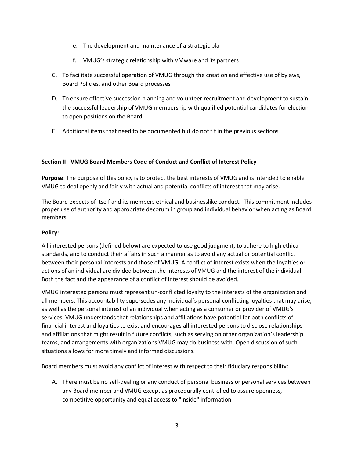- e. The development and maintenance of a strategic plan
- f. VMUG's strategic relationship with VMware and its partners
- C. To facilitate successful operation of VMUG through the creation and effective use of bylaws, Board Policies, and other Board processes
- D. To ensure effective succession planning and volunteer recruitment and development to sustain the successful leadership of VMUG membership with qualified potential candidates for election to open positions on the Board
- E. Additional items that need to be documented but do not fit in the previous sections

# **Section II - VMUG Board Members Code of Conduct and Conflict of Interest Policy**

**Purpose**: The purpose of this policy is to protect the best interests of VMUG and is intended to enable VMUG to deal openly and fairly with actual and potential conflicts of interest that may arise.

The Board expects of itself and its members ethical and businesslike conduct. This commitment includes proper use of authority and appropriate decorum in group and individual behavior when acting as Board members.

### **Policy:**

All interested persons (defined below) are expected to use good judgment, to adhere to high ethical standards, and to conduct their affairs in such a manner as to avoid any actual or potential conflict between their personal interests and those of VMUG. A conflict of interest exists when the loyalties or actions of an individual are divided between the interests of VMUG and the interest of the individual. Both the fact and the appearance of a conflict of interest should be avoided.

VMUG interested persons must represent un-conflicted loyalty to the interests of the organization and all members. This accountability supersedes any individual's personal conflicting loyalties that may arise, as well as the personal interest of an individual when acting as a consumer or provider of VMUG's services. VMUG understands that relationships and affiliations have potential for both conflicts of financial interest and loyalties to exist and encourages all interested persons to disclose relationships and affiliations that might result in future conflicts, such as serving on other organization's leadership teams, and arrangements with organizations VMUG may do business with. Open discussion of such situations allows for more timely and informed discussions.

Board members must avoid any conflict of interest with respect to their fiduciary responsibility:

A. There must be no self-dealing or any conduct of personal business or personal services between any Board member and VMUG except as procedurally controlled to assure openness, competitive opportunity and equal access to "inside" information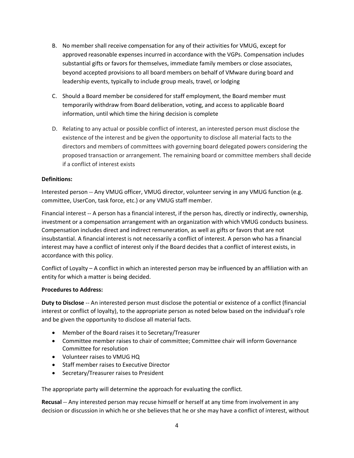- B. No member shall receive compensation for any of their activities for VMUG, except for approved reasonable expenses incurred in accordance with the VGPs. Compensation includes substantial gifts or favors for themselves, immediate family members or close associates, beyond accepted provisions to all board members on behalf of VMware during board and leadership events, typically to include group meals, travel, or lodging
- C. Should a Board member be considered for staff employment, the Board member must temporarily withdraw from Board deliberation, voting, and access to applicable Board information, until which time the hiring decision is complete
- D. Relating to any actual or possible conflict of interest, an interested person must disclose the existence of the interest and be given the opportunity to disclose all material facts to the directors and members of committees with governing board delegated powers considering the proposed transaction or arrangement. The remaining board or committee members shall decide if a conflict of interest exists

# **Definitions:**

Interested person -- Any VMUG officer, VMUG director, volunteer serving in any VMUG function (e.g. committee, UserCon, task force, etc.) or any VMUG staff member.

Financial interest -- A person has a financial interest, if the person has, directly or indirectly, ownership, investment or a compensation arrangement with an organization with which VMUG conducts business. Compensation includes direct and indirect remuneration, as well as gifts or favors that are not insubstantial. A financial interest is not necessarily a conflict of interest. A person who has a financial interest may have a conflict of interest only if the Board decides that a conflict of interest exists, in accordance with this policy.

Conflict of Loyalty – A conflict in which an interested person may be influenced by an affiliation with an entity for which a matter is being decided.

### **Procedures to Address:**

**Duty to Disclose** -- An interested person must disclose the potential or existence of a conflict (financial interest or conflict of loyalty), to the appropriate person as noted below based on the individual's role and be given the opportunity to disclose all material facts.

- Member of the Board raises it to Secretary/Treasurer
- Committee member raises to chair of committee; Committee chair will inform Governance Committee for resolution
- Volunteer raises to VMUG HQ
- Staff member raises to Executive Director
- Secretary/Treasurer raises to President

The appropriate party will determine the approach for evaluating the conflict.

**Recusal** -- Any interested person may recuse himself or herself at any time from involvement in any decision or discussion in which he or she believes that he or she may have a conflict of interest, without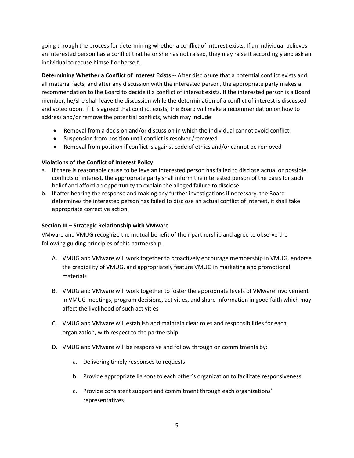going through the process for determining whether a conflict of interest exists. If an individual believes an interested person has a conflict that he or she has not raised, they may raise it accordingly and ask an individual to recuse himself or herself.

**Determining Whether a Conflict of Interest Exists** -- After disclosure that a potential conflict exists and all material facts, and after any discussion with the interested person, the appropriate party makes a recommendation to the Board to decide if a conflict of interest exists. If the interested person is a Board member, he/she shall leave the discussion while the determination of a conflict of interest is discussed and voted upon. If it is agreed that conflict exists, the Board will make a recommendation on how to address and/or remove the potential conflicts, which may include:

- Removal from a decision and/or discussion in which the individual cannot avoid conflict,
- Suspension from position until conflict is resolved/removed
- Removal from position if conflict is against code of ethics and/or cannot be removed

# **Violations of the Conflict of Interest Policy**

- a. If there is reasonable cause to believe an interested person has failed to disclose actual or possible conflicts of interest, the appropriate party shall inform the interested person of the basis for such belief and afford an opportunity to explain the alleged failure to disclose
- b. If after hearing the response and making any further investigations if necessary, the Board determines the interested person has failed to disclose an actual conflict of interest, it shall take appropriate corrective action.

# **Section III – Strategic Relationship with VMware**

VMware and VMUG recognize the mutual benefit of their partnership and agree to observe the following guiding principles of this partnership.

- A. VMUG and VMware will work together to proactively encourage membership in VMUG, endorse the credibility of VMUG, and appropriately feature VMUG in marketing and promotional materials
- B. VMUG and VMware will work together to foster the appropriate levels of VMware involvement in VMUG meetings, program decisions, activities, and share information in good faith which may affect the livelihood of such activities
- C. VMUG and VMware will establish and maintain clear roles and responsibilities for each organization, with respect to the partnership
- D. VMUG and VMware will be responsive and follow through on commitments by:
	- a. Delivering timely responses to requests
	- b. Provide appropriate liaisons to each other's organization to facilitate responsiveness
	- c. Provide consistent support and commitment through each organizations' representatives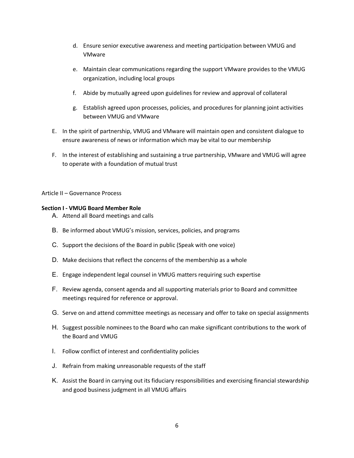- d. Ensure senior executive awareness and meeting participation between VMUG and VMware
- e. Maintain clear communications regarding the support VMware provides to the VMUG organization, including local groups
- f. Abide by mutually agreed upon guidelines for review and approval of collateral
- g. Establish agreed upon processes, policies, and procedures for planning joint activities between VMUG and VMware
- E. In the spirit of partnership, VMUG and VMware will maintain open and consistent dialogue to ensure awareness of news or information which may be vital to our membership
- F. In the interest of establishing and sustaining a true partnership, VMware and VMUG will agree to operate with a foundation of mutual trust

#### Article II – Governance Process

#### **Section I - VMUG Board Member Role**

- A. Attend all Board meetings and calls
- B. Be informed about VMUG's mission, services, policies, and programs
- C. Support the decisions of the Board in public (Speak with one voice)
- D. Make decisions that reflect the concerns of the membership as a whole
- E. Engage independent legal counsel in VMUG matters requiring such expertise
- F. Review agenda, consent agenda and all supporting materials prior to Board and committee meetings required for reference or approval.
- G. Serve on and attend committee meetings as necessary and offer to take on special assignments
- H. Suggest possible nominees to the Board who can make significant contributions to the work of the Board and VMUG
- I. Follow conflict of interest and confidentiality policies
- J. Refrain from making unreasonable requests of the staff
- K. Assist the Board in carrying out its fiduciary responsibilities and exercising financial stewardship and good business judgment in all VMUG affairs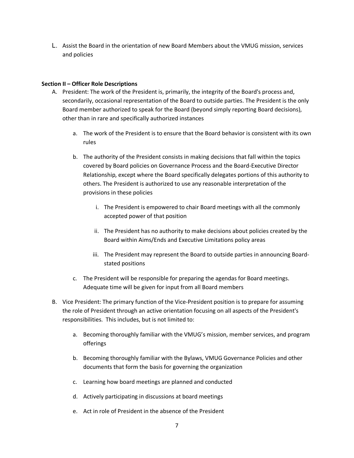L. Assist the Board in the orientation of new Board Members about the VMUG mission, services and policies

# **Section II – Officer Role Descriptions**

- A. President: The work of the President is, primarily, the integrity of the Board's process and, secondarily, occasional representation of the Board to outside parties. The President is the only Board member authorized to speak for the Board (beyond simply reporting Board decisions), other than in rare and specifically authorized instances
	- a. The work of the President is to ensure that the Board behavior is consistent with its own rules
	- b. The authority of the President consists in making decisions that fall within the topics covered by Board policies on Governance Process and the Board-Executive Director Relationship, except where the Board specifically delegates portions of this authority to others. The President is authorized to use any reasonable interpretation of the provisions in these policies
		- i. The President is empowered to chair Board meetings with all the commonly accepted power of that position
		- ii. The President has no authority to make decisions about policies created by the Board within Aims/Ends and Executive Limitations policy areas
		- iii. The President may represent the Board to outside parties in announcing Boardstated positions
	- c. The President will be responsible for preparing the agendas for Board meetings. Adequate time will be given for input from all Board members
- B. Vice President: The primary function of the Vice-President position is to prepare for assuming the role of President through an active orientation focusing on all aspects of the President's responsibilities. This includes, but is not limited to:
	- a. Becoming thoroughly familiar with the VMUG's mission, member services, and program offerings
	- b. Becoming thoroughly familiar with the Bylaws, VMUG Governance Policies and other documents that form the basis for governing the organization
	- c. Learning how board meetings are planned and conducted
	- d. Actively participating in discussions at board meetings
	- e. Act in role of President in the absence of the President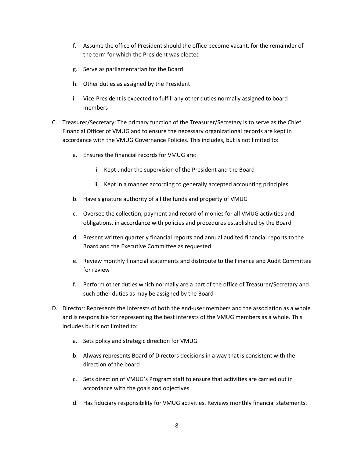- f. Assume the office of President should the office become vacant, for the remainder of the term for which the President was elected
- g. Serve as parliamentarian for the Board
- h. Other duties as assigned by the President
- i. Vice-President is expected to fulfill any other duties normally assigned to board members
- C. Treasurer/Secretary: The primary function of the Treasurer/Secretary is to serve as the Chief Financial Officer of VMUG and to ensure the necessary organizational records are kept in accordance with the VMUG Governance Policies. This includes, but is not limited to:
	- a. Ensures the financial records for VMUG are:
		- i. Kept under the supervision of the President and the Board
		- ii. Kept in a manner according to generally accepted accounting principles
	- b. Have signature authority of all the funds and property of VMUG
	- c. Oversee the collection, payment and record of monies for all VMUG activities and obligations, in accordance with policies and procedures established by the Board
	- d. Present written quarterly financial reports and annual audited financial reports to the Board and the Executive Committee as requested
	- e. Review monthly financial statements and distribute to the Finance and Audit Committee for review
	- f. Perform other duties which normally are a part of the office of Treasurer/Secretary and such other duties as may be assigned by the Board
- D. Director: Represents the interests of both the end-user members and the association as a whole and is responsible for representing the best interests of the VMUG members as a whole. This includes but is not limited to:
	- a. Sets policy and strategic direction for VMUG
	- b. Always represents Board of Directors decisions in a way that is consistent with the direction of the board
	- c. Sets direction of VMUG's Program staff to ensure that activities are carried out in accordance with the goals and objectives
	- d. Has fiduciary responsibility for VMUG activities. Reviews monthly financial statements.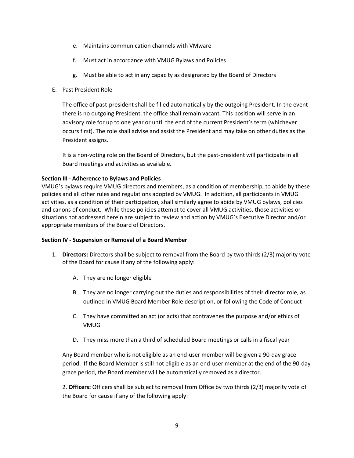- e. Maintains communication channels with VMware
- f. Must act in accordance with VMUG Bylaws and Policies
- g. Must be able to act in any capacity as designated by the Board of Directors
- E. Past President Role

The office of past-president shall be filled automatically by the outgoing President. In the event there is no outgoing President, the office shall remain vacant. This position will serve in an advisory role for up to one year or until the end of the current President's term (whichever occurs first). The role shall advise and assist the President and may take on other duties as the President assigns.

It is a non-voting role on the Board of Directors, but the past-president will participate in all Board meetings and activities as available.

# **Section III - Adherence to Bylaws and Policies**

VMUG's bylaws require VMUG directors and members, as a condition of membership, to abide by these policies and all other rules and regulations adopted by VMUG. In addition, all participants in VMUG activities, as a condition of their participation, shall similarly agree to abide by VMUG bylaws, policies and canons of conduct. While these policies attempt to cover all VMUG activities, those activities or situations not addressed herein are subject to review and action by VMUG's Executive Director and/or appropriate members of the Board of Directors.

### **Section IV - Suspension or Removal of a Board Member**

- 1. **Directors:** Directors shall be subject to removal from the Board by two thirds (2/3) majority vote of the Board for cause if any of the following apply:
	- A. They are no longer eligible
	- B. They are no longer carrying out the duties and responsibilities of their director role, as outlined in VMUG Board Member Role description, or following the Code of Conduct
	- C. They have committed an act (or acts) that contravenes the purpose and/or ethics of VMUG
	- D. They miss more than a third of scheduled Board meetings or calls in a fiscal year

Any Board member who is not eligible as an end-user member will be given a 90-day grace period. If the Board Member is still not eligible as an end-user member at the end of the 90-day grace period, the Board member will be automatically removed as a director.

2. **Officers:** Officers shall be subject to removal from Office by two thirds (2/3) majority vote of the Board for cause if any of the following apply: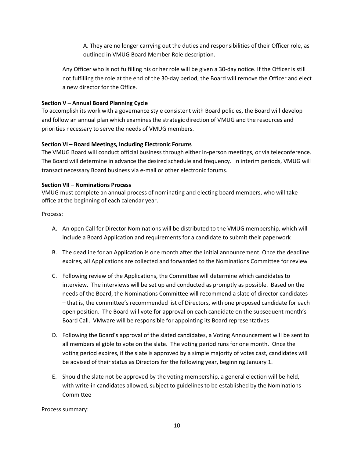A. They are no longer carrying out the duties and responsibilities of their Officer role, as outlined in VMUG Board Member Role description.

Any Officer who is not fulfilling his or her role will be given a 30-day notice. If the Officer is still not fulfilling the role at the end of the 30-day period, the Board will remove the Officer and elect a new director for the Office.

# **Section V – Annual Board Planning Cycle**

To accomplish its work with a governance style consistent with Board policies, the Board will develop and follow an annual plan which examines the strategic direction of VMUG and the resources and priorities necessary to serve the needs of VMUG members.

# **Section VI – Board Meetings, Including Electronic Forums**

The VMUG Board will conduct official business through either in-person meetings, or via teleconference. The Board will determine in advance the desired schedule and frequency. In interim periods, VMUG will transact necessary Board business via e-mail or other electronic forums.

### **Section VII – Nominations Process**

VMUG must complete an annual process of nominating and electing board members, who will take office at the beginning of each calendar year.

### Process:

- A. An open Call for Director Nominations will be distributed to the VMUG membership, which will include a Board Application and requirements for a candidate to submit their paperwork
- B. The deadline for an Application is one month after the initial announcement. Once the deadline expires, all Applications are collected and forwarded to the Nominations Committee for review
- C. Following review of the Applications, the Committee will determine which candidates to interview. The interviews will be set up and conducted as promptly as possible. Based on the needs of the Board, the Nominations Committee will recommend a slate of director candidates – that is, the committee's recommended list of Directors, with one proposed candidate for each open position. The Board will vote for approval on each candidate on the subsequent month's Board Call. VMware will be responsible for appointing its Board representatives
- D. Following the Board's approval of the slated candidates, a Voting Announcement will be sent to all members eligible to vote on the slate. The voting period runs for one month. Once the voting period expires, if the slate is approved by a simple majority of votes cast, candidates will be advised of their status as Directors for the following year, beginning January 1.
- E. Should the slate not be approved by the voting membership, a general election will be held, with write-in candidates allowed, subject to guidelines to be established by the Nominations Committee

Process summary: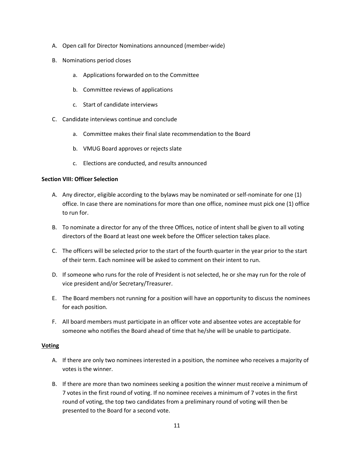- A. Open call for Director Nominations announced (member-wide)
- B. Nominations period closes
	- a. Applications forwarded on to the Committee
	- b. Committee reviews of applications
	- c. Start of candidate interviews
- C. Candidate interviews continue and conclude
	- a. Committee makes their final slate recommendation to the Board
	- b. VMUG Board approves or rejects slate
	- c. Elections are conducted, and results announced

### **Section VIII: Officer Selection**

- A. Any director, eligible according to the bylaws may be nominated or self-nominate for one (1) office. In case there are nominations for more than one office, nominee must pick one (1) office to run for.
- B. To nominate a director for any of the three Offices, notice of intent shall be given to all voting directors of the Board at least one week before the Officer selection takes place.
- C. The officers will be selected prior to the start of the fourth quarter in the year prior to the start of their term. Each nominee will be asked to comment on their intent to run.
- D. If someone who runs for the role of President is not selected, he or she may run for the role of vice president and/or Secretary/Treasurer.
- E. The Board members not running for a position will have an opportunity to discuss the nominees for each position.
- F. All board members must participate in an officer vote and absentee votes are acceptable for someone who notifies the Board ahead of time that he/she will be unable to participate.

#### **Voting**

- A. If there are only two nominees interested in a position, the nominee who receives a majority of votes is the winner.
- B. If there are more than two nominees seeking a position the winner must receive a minimum of 7 votes in the first round of voting. If no nominee receives a minimum of 7 votes in the first round of voting, the top two candidates from a preliminary round of voting will then be presented to the Board for a second vote.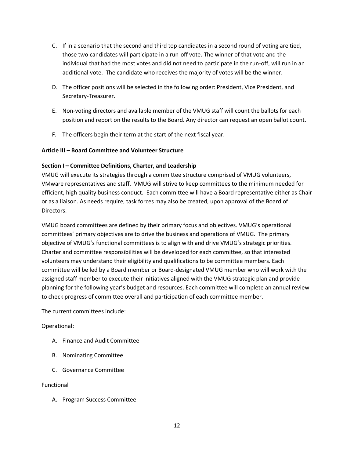- C. If in a scenario that the second and third top candidates in a second round of voting are tied, those two candidates will participate in a run-off vote. The winner of that vote and the individual that had the most votes and did not need to participate in the run-off, will run in an additional vote. The candidate who receives the majority of votes will be the winner.
- D. The officer positions will be selected in the following order: President, Vice President, and Secretary-Treasurer.
- E. Non-voting directors and available member of the VMUG staff will count the ballots for each position and report on the results to the Board. Any director can request an open ballot count.
- F. The officers begin their term at the start of the next fiscal year.

### **Article III – Board Committee and Volunteer Structure**

# **Section I – Committee Definitions, Charter, and Leadership**

VMUG will execute its strategies through a committee structure comprised of VMUG volunteers, VMware representatives and staff. VMUG will strive to keep committees to the minimum needed for efficient, high quality business conduct. Each committee will have a Board representative either as Chair or as a liaison. As needs require, task forces may also be created, upon approval of the Board of Directors.

VMUG board committees are defined by their primary focus and objectives. VMUG's operational committees' primary objectives are to drive the business and operations of VMUG. The primary objective of VMUG's functional committees is to align with and drive VMUG's strategic priorities. Charter and committee responsibilities will be developed for each committee, so that interested volunteers may understand their eligibility and qualifications to be committee members. Each committee will be led by a Board member or Board-designated VMUG member who will work with the assigned staff member to execute their initiatives aligned with the VMUG strategic plan and provide planning for the following year's budget and resources. Each committee will complete an annual review to check progress of committee overall and participation of each committee member.

The current committees include:

### Operational:

- A. Finance and Audit Committee
- B. Nominating Committee
- C. Governance Committee

### Functional

A. Program Success Committee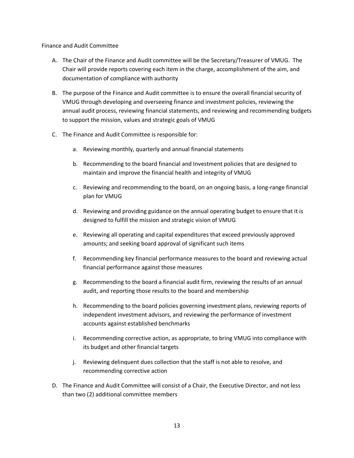Finance and Audit Committee

- A. The Chair of the Finance and Audit committee will be the Secretary/Treasurer of VMUG. The Chair will provide reports covering each item in the charge, accomplishment of the aim, and documentation of compliance with authority
- B. The purpose of the Finance and Audit committee is to ensure the overall financial security of VMUG through developing and overseeing finance and investment policies, reviewing the annual audit process, reviewing financial statements, and reviewing and recommending budgets to support the mission, values and strategic goals of VMUG
- C. The Finance and Audit Committee is responsible for:
	- a. Reviewing monthly, quarterly and annual financial statements
	- b. Recommending to the board financial and Investment policies that are designed to maintain and improve the financial health and integrity of VMUG
	- c. Reviewing and recommending to the board, on an ongoing basis, a long-range financial plan for VMUG
	- d. Reviewing and providing guidance on the annual operating budget to ensure that it is designed to fulfill the mission and strategic vision of VMUG
	- e. Reviewing all operating and capital expenditures that exceed previously approved amounts; and seeking board approval of significant such items
	- f. Recommending key financial performance measures to the board and reviewing actual financial performance against those measures
	- g. Recommending to the board a financial audit firm, reviewing the results of an annual audit, and reporting those results to the board and membership
	- h. Recommending to the board policies governing investment plans, reviewing reports of independent investment advisors, and reviewing the performance of investment accounts against established benchmarks
	- i. Recommending corrective action, as appropriate, to bring VMUG into compliance with its budget and other financial targets
	- j. Reviewing delinquent dues collection that the staff is not able to resolve, and recommending corrective action
- D. The Finance and Audit Committee will consist of a Chair, the Executive Director, and not less than two (2) additional committee members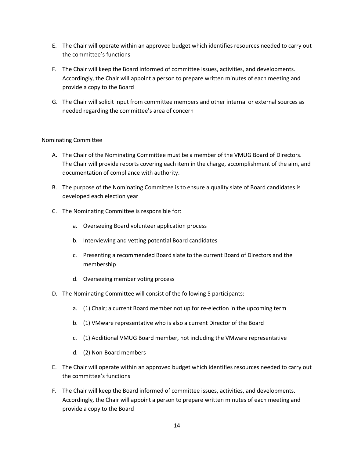- E. The Chair will operate within an approved budget which identifies resources needed to carry out the committee's functions
- F. The Chair will keep the Board informed of committee issues, activities, and developments. Accordingly, the Chair will appoint a person to prepare written minutes of each meeting and provide a copy to the Board
- G. The Chair will solicit input from committee members and other internal or external sources as needed regarding the committee's area of concern

# Nominating Committee

- A. The Chair of the Nominating Committee must be a member of the VMUG Board of Directors. The Chair will provide reports covering each item in the charge, accomplishment of the aim, and documentation of compliance with authority.
- B. The purpose of the Nominating Committee is to ensure a quality slate of Board candidates is developed each election year
- C. The Nominating Committee is responsible for:
	- a. Overseeing Board volunteer application process
	- b. Interviewing and vetting potential Board candidates
	- c. Presenting a recommended Board slate to the current Board of Directors and the membership
	- d. Overseeing member voting process
- D. The Nominating Committee will consist of the following 5 participants:
	- a. (1) Chair; a current Board member not up for re-election in the upcoming term
	- b. (1) VMware representative who is also a current Director of the Board
	- c. (1) Additional VMUG Board member, not including the VMware representative
	- d. (2) Non-Board members
- E. The Chair will operate within an approved budget which identifies resources needed to carry out the committee's functions
- F. The Chair will keep the Board informed of committee issues, activities, and developments. Accordingly, the Chair will appoint a person to prepare written minutes of each meeting and provide a copy to the Board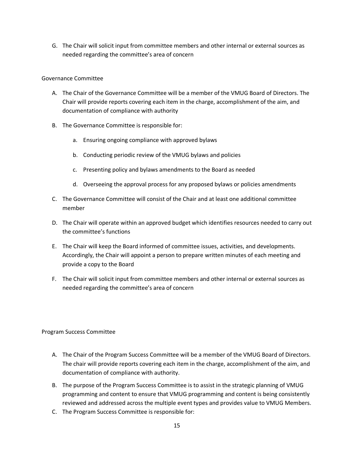G. The Chair will solicit input from committee members and other internal or external sources as needed regarding the committee's area of concern

# Governance Committee

- A. The Chair of the Governance Committee will be a member of the VMUG Board of Directors. The Chair will provide reports covering each item in the charge, accomplishment of the aim, and documentation of compliance with authority
- B. The Governance Committee is responsible for:
	- a. Ensuring ongoing compliance with approved bylaws
	- b. Conducting periodic review of the VMUG bylaws and policies
	- c. Presenting policy and bylaws amendments to the Board as needed
	- d. Overseeing the approval process for any proposed bylaws or policies amendments
- C. The Governance Committee will consist of the Chair and at least one additional committee member
- D. The Chair will operate within an approved budget which identifies resources needed to carry out the committee's functions
- E. The Chair will keep the Board informed of committee issues, activities, and developments. Accordingly, the Chair will appoint a person to prepare written minutes of each meeting and provide a copy to the Board
- F. The Chair will solicit input from committee members and other internal or external sources as needed regarding the committee's area of concern

Program Success Committee

- A. The Chair of the Program Success Committee will be a member of the VMUG Board of Directors. The chair will provide reports covering each item in the charge, accomplishment of the aim, and documentation of compliance with authority.
- B. The purpose of the Program Success Committee is to assist in the strategic planning of VMUG programming and content to ensure that VMUG programming and content is being consistently reviewed and addressed across the multiple event types and provides value to VMUG Members.
- C. The Program Success Committee is responsible for: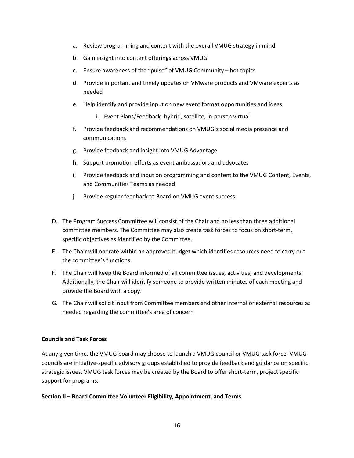- a. Review programming and content with the overall VMUG strategy in mind
- b. Gain insight into content offerings across VMUG
- c. Ensure awareness of the "pulse" of VMUG Community hot topics
- d. Provide important and timely updates on VMware products and VMware experts as needed
- e. Help identify and provide input on new event format opportunities and ideas
	- i. Event Plans/Feedback- hybrid, satellite, in-person virtual
- f. Provide feedback and recommendations on VMUG's social media presence and communications
- g. Provide feedback and insight into VMUG Advantage
- h. Support promotion efforts as event ambassadors and advocates
- i. Provide feedback and input on programming and content to the VMUG Content, Events, and Communities Teams as needed
- j. Provide regular feedback to Board on VMUG event success
- D. The Program Success Committee will consist of the Chair and no less than three additional committee members. The Committee may also create task forces to focus on short-term, specific objectives as identified by the Committee.
- E. The Chair will operate within an approved budget which identifies resources need to carry out the committee's functions.
- F. The Chair will keep the Board informed of all committee issues, activities, and developments. Additionally, the Chair will identify someone to provide written minutes of each meeting and provide the Board with a copy.
- G. The Chair will solicit input from Committee members and other internal or external resources as needed regarding the committee's area of concern

### **Councils and Task Forces**

At any given time, the VMUG board may choose to launch a VMUG council or VMUG task force. VMUG councils are initiative-specific advisory groups established to provide feedback and guidance on specific strategic issues. VMUG task forces may be created by the Board to offer short-term, project specific support for programs.

### **Section II – Board Committee Volunteer Eligibility, Appointment, and Terms**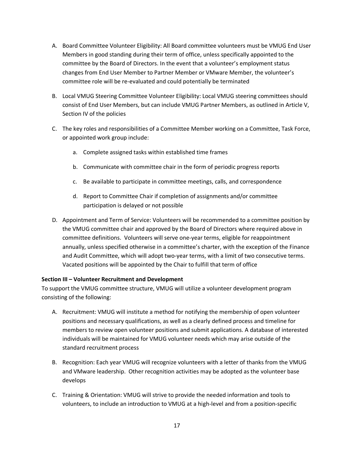- A. Board Committee Volunteer Eligibility: All Board committee volunteers must be VMUG End User Members in good standing during their term of office, unless specifically appointed to the committee by the Board of Directors. In the event that a volunteer's employment status changes from End User Member to Partner Member or VMware Member, the volunteer's committee role will be re-evaluated and could potentially be terminated
- B. Local VMUG Steering Committee Volunteer Eligibility: Local VMUG steering committees should consist of End User Members, but can include VMUG Partner Members, as outlined in Article V, Section IV of the policies
- C. The key roles and responsibilities of a Committee Member working on a Committee, Task Force, or appointed work group include:
	- a. Complete assigned tasks within established time frames
	- b. Communicate with committee chair in the form of periodic progress reports
	- c. Be available to participate in committee meetings, calls, and correspondence
	- d. Report to Committee Chair if completion of assignments and/or committee participation is delayed or not possible
- D. Appointment and Term of Service: Volunteers will be recommended to a committee position by the VMUG committee chair and approved by the Board of Directors where required above in committee definitions. Volunteers will serve one-year terms, eligible for reappointment annually, unless specified otherwise in a committee's charter, with the exception of the Finance and Audit Committee, which will adopt two-year terms, with a limit of two consecutive terms. Vacated positions will be appointed by the Chair to fulfill that term of office

### **Section III – Volunteer Recruitment and Development**

To support the VMUG committee structure, VMUG will utilize a volunteer development program consisting of the following:

- A. Recruitment: VMUG will institute a method for notifying the membership of open volunteer positions and necessary qualifications, as well as a clearly defined process and timeline for members to review open volunteer positions and submit applications. A database of interested individuals will be maintained for VMUG volunteer needs which may arise outside of the standard recruitment process
- B. Recognition: Each year VMUG will recognize volunteers with a letter of thanks from the VMUG and VMware leadership. Other recognition activities may be adopted as the volunteer base develops
- C. Training & Orientation: VMUG will strive to provide the needed information and tools to volunteers, to include an introduction to VMUG at a high-level and from a position-specific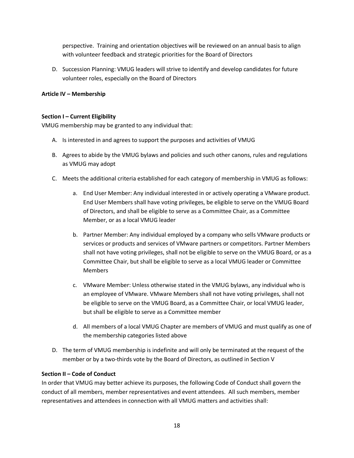perspective. Training and orientation objectives will be reviewed on an annual basis to align with volunteer feedback and strategic priorities for the Board of Directors

D. Succession Planning: VMUG leaders will strive to identify and develop candidates for future volunteer roles, especially on the Board of Directors

# **Article IV – Membership**

# **Section I – Current Eligibility**

VMUG membership may be granted to any individual that:

- A. Is interested in and agrees to support the purposes and activities of VMUG
- B. Agrees to abide by the VMUG bylaws and policies and such other canons, rules and regulations as VMUG may adopt
- C. Meets the additional criteria established for each category of membership in VMUG as follows:
	- a. End User Member: Any individual interested in or actively operating a VMware product. End User Members shall have voting privileges, be eligible to serve on the VMUG Board of Directors, and shall be eligible to serve as a Committee Chair, as a Committee Member, or as a local VMUG leader
	- b. Partner Member: Any individual employed by a company who sells VMware products or services or products and services of VMware partners or competitors. Partner Members shall not have voting privileges, shall not be eligible to serve on the VMUG Board, or as a Committee Chair, but shall be eligible to serve as a local VMUG leader or Committee Members
	- c. VMware Member: Unless otherwise stated in the VMUG bylaws, any individual who is an employee of VMware. VMware Members shall not have voting privileges, shall not be eligible to serve on the VMUG Board, as a Committee Chair, or local VMUG leader, but shall be eligible to serve as a Committee member
	- d. All members of a local VMUG Chapter are members of VMUG and must qualify as one of the membership categories listed above
- D. The term of VMUG membership is indefinite and will only be terminated at the request of the member or by a two-thirds vote by the Board of Directors, as outlined in Section V

### **Section II – Code of Conduct**

In order that VMUG may better achieve its purposes, the following Code of Conduct shall govern the conduct of all members, member representatives and event attendees. All such members, member representatives and attendees in connection with all VMUG matters and activities shall: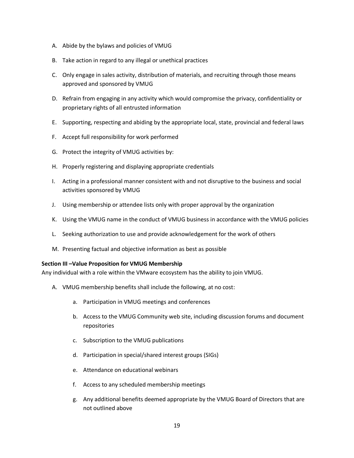- A. Abide by the bylaws and policies of VMUG
- B. Take action in regard to any illegal or unethical practices
- C. Only engage in sales activity, distribution of materials, and recruiting through those means approved and sponsored by VMUG
- D. Refrain from engaging in any activity which would compromise the privacy, confidentiality or proprietary rights of all entrusted information
- E. Supporting, respecting and abiding by the appropriate local, state, provincial and federal laws
- F. Accept full responsibility for work performed
- G. Protect the integrity of VMUG activities by:
- H. Properly registering and displaying appropriate credentials
- I. Acting in a professional manner consistent with and not disruptive to the business and social activities sponsored by VMUG
- J. Using membership or attendee lists only with proper approval by the organization
- K. Using the VMUG name in the conduct of VMUG business in accordance with the VMUG policies
- L. Seeking authorization to use and provide acknowledgement for the work of others
- M. Presenting factual and objective information as best as possible

### **Section III –Value Proposition for VMUG Membership**

Any individual with a role within the VMware ecosystem has the ability to join VMUG.

- A. VMUG membership benefits shall include the following, at no cost:
	- a. Participation in VMUG meetings and conferences
	- b. Access to the VMUG Community web site, including discussion forums and document repositories
	- c. Subscription to the VMUG publications
	- d. Participation in special/shared interest groups (SIGs)
	- e. Attendance on educational webinars
	- f. Access to any scheduled membership meetings
	- g. Any additional benefits deemed appropriate by the VMUG Board of Directors that are not outlined above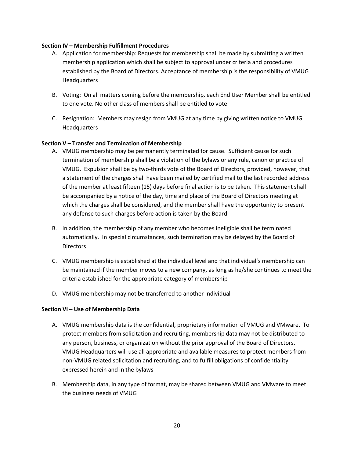#### **Section IV – Membership Fulfillment Procedures**

- A. Application for membership: Requests for membership shall be made by submitting a written membership application which shall be subject to approval under criteria and procedures established by the Board of Directors. Acceptance of membership is the responsibility of VMUG Headquarters
- B. Voting: On all matters coming before the membership, each End User Member shall be entitled to one vote. No other class of members shall be entitled to vote
- C. Resignation: Members may resign from VMUG at any time by giving written notice to VMUG **Headquarters**

### **Section V – Transfer and Termination of Membership**

- A. VMUG membership may be permanently terminated for cause. Sufficient cause for such termination of membership shall be a violation of the bylaws or any rule, canon or practice of VMUG. Expulsion shall be by two-thirds vote of the Board of Directors, provided, however, that a statement of the charges shall have been mailed by certified mail to the last recorded address of the member at least fifteen (15) days before final action is to be taken. This statement shall be accompanied by a notice of the day, time and place of the Board of Directors meeting at which the charges shall be considered, and the member shall have the opportunity to present any defense to such charges before action is taken by the Board
- B. In addition, the membership of any member who becomes ineligible shall be terminated automatically. In special circumstances, such termination may be delayed by the Board of **Directors**
- C. VMUG membership is established at the individual level and that individual's membership can be maintained if the member moves to a new company, as long as he/she continues to meet the criteria established for the appropriate category of membership
- D. VMUG membership may not be transferred to another individual

#### **Section VI – Use of Membership Data**

- A. VMUG membership data is the confidential, proprietary information of VMUG and VMware. To protect members from solicitation and recruiting, membership data may not be distributed to any person, business, or organization without the prior approval of the Board of Directors. VMUG Headquarters will use all appropriate and available measures to protect members from non-VMUG related solicitation and recruiting, and to fulfill obligations of confidentiality expressed herein and in the bylaws
- B. Membership data, in any type of format, may be shared between VMUG and VMware to meet the business needs of VMUG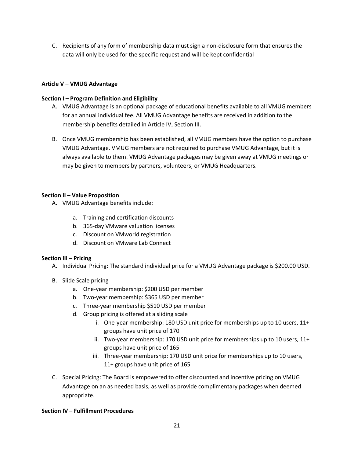C. Recipients of any form of membership data must sign a non-disclosure form that ensures the data will only be used for the specific request and will be kept confidential

# **Article V – VMUG Advantage**

# **Section I – Program Definition and Eligibility**

- A. VMUG Advantage is an optional package of educational benefits available to all VMUG members for an annual individual fee. All VMUG Advantage benefits are received in addition to the membership benefits detailed in Article IV, Section III.
- B. Once VMUG membership has been established, all VMUG members have the option to purchase VMUG Advantage. VMUG members are not required to purchase VMUG Advantage, but it is always available to them. VMUG Advantage packages may be given away at VMUG meetings or may be given to members by partners, volunteers, or VMUG Headquarters.

# **Section II – Value Proposition**

- A. VMUG Advantage benefits include:
	- a. Training and certification discounts
	- b. 365-day VMware valuation licenses
	- c. Discount on VMworld registration
	- d. Discount on VMware Lab Connect

### **Section III – Pricing**

- A. Individual Pricing: The standard individual price for a VMUG Advantage package is \$200.00 USD.
- B. Slide Scale pricing
	- a. One-year membership: \$200 USD per member
	- b. Two-year membership: \$365 USD per member
	- c. Three-year membership \$510 USD per member
	- d. Group pricing is offered at a sliding scale
		- i. One-year membership: 180 USD unit price for memberships up to 10 users, 11+ groups have unit price of 170
		- ii. Two-year membership: 170 USD unit price for memberships up to 10 users, 11+ groups have unit price of 165
		- iii. Three-year membership: 170 USD unit price for memberships up to 10 users, 11+ groups have unit price of 165
- C. Special Pricing: The Board is empowered to offer discounted and incentive pricing on VMUG Advantage on an as needed basis, as well as provide complimentary packages when deemed appropriate.

### **Section IV – Fulfillment Procedures**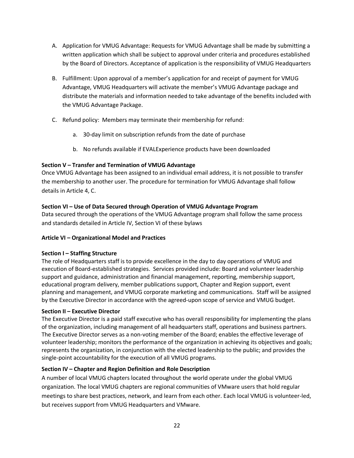- A. Application for VMUG Advantage: Requests for VMUG Advantage shall be made by submitting a written application which shall be subject to approval under criteria and procedures established by the Board of Directors. Acceptance of application is the responsibility of VMUG Headquarters
- B. Fulfillment: Upon approval of a member's application for and receipt of payment for VMUG Advantage, VMUG Headquarters will activate the member's VMUG Advantage package and distribute the materials and information needed to take advantage of the benefits included with the VMUG Advantage Package.
- C. Refund policy: Members may terminate their membership for refund:
	- a. 30-day limit on subscription refunds from the date of purchase
	- b. No refunds available if EVALExperience products have been downloaded

# **Section V – Transfer and Termination of VMUG Advantage**

Once VMUG Advantage has been assigned to an individual email address, it is not possible to transfer the membership to another user. The procedure for termination for VMUG Advantage shall follow details in Article 4, C.

# **Section VI – Use of Data Secured through Operation of VMUG Advantage Program**

Data secured through the operations of the VMUG Advantage program shall follow the same process and standards detailed in Article IV, Section VI of these bylaws

### **Article VI – Organizational Model and Practices**

### **Section I – Staffing Structure**

The role of Headquarters staff is to provide excellence in the day to day operations of VMUG and execution of Board-established strategies. Services provided include: Board and volunteer leadership support and guidance, administration and financial management, reporting, membership support, educational program delivery, member publications support, Chapter and Region support, event planning and management, and VMUG corporate marketing and communications. Staff will be assigned by the Executive Director in accordance with the agreed-upon scope of service and VMUG budget.

### **Section II – Executive Director**

The Executive Director is a paid staff executive who has overall responsibility for implementing the plans of the organization, including management of all headquarters staff, operations and business partners. The Executive Director serves as a non-voting member of the Board; enables the effective leverage of volunteer leadership; monitors the performance of the organization in achieving its objectives and goals; represents the organization, in conjunction with the elected leadership to the public; and provides the single-point accountability for the execution of all VMUG programs.

# **Section IV – Chapter and Region Definition and Role Description**

A number of local VMUG chapters located throughout the world operate under the global VMUG organization. The local VMUG chapters are regional communities of VMware users that hold regular meetings to share best practices, network, and learn from each other. Each local VMUG is volunteer-led, but receives support from VMUG Headquarters and VMware.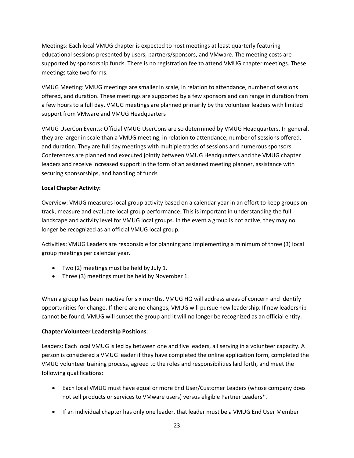Meetings: Each local VMUG chapter is expected to host meetings at least quarterly featuring educational sessions presented by users, partners/sponsors, and VMware. The meeting costs are supported by sponsorship funds. There is no registration fee to attend VMUG chapter meetings. These meetings take two forms:

VMUG Meeting: VMUG meetings are smaller in scale, in relation to attendance, number of sessions offered, and duration. These meetings are supported by a few sponsors and can range in duration from a few hours to a full day. VMUG meetings are planned primarily by the volunteer leaders with limited support from VMware and VMUG Headquarters

VMUG UserCon Events: Official VMUG UserCons are so determined by VMUG Headquarters. In general, they are larger in scale than a VMUG meeting, in relation to attendance, number of sessions offered, and duration. They are full day meetings with multiple tracks of sessions and numerous sponsors. Conferences are planned and executed jointly between VMUG Headquarters and the VMUG chapter leaders and receive increased support in the form of an assigned meeting planner, assistance with securing sponsorships, and handling of funds

# **Local Chapter Activity:**

Overview: VMUG measures local group activity based on a calendar year in an effort to keep groups on track, measure and evaluate local group performance. This is important in understanding the full landscape and activity level for VMUG local groups. In the event a group is not active, they may no longer be recognized as an official VMUG local group.

Activities: VMUG Leaders are responsible for planning and implementing a minimum of three (3) local group meetings per calendar year.

- Two (2) meetings must be held by July 1.
- Three (3) meetings must be held by November 1.

When a group has been inactive for six months, VMUG HQ will address areas of concern and identify opportunities for change. If there are no changes, VMUG will pursue new leadership. If new leadership cannot be found, VMUG will sunset the group and it will no longer be recognized as an official entity.

# **Chapter Volunteer Leadership Positions**:

Leaders: Each local VMUG is led by between one and five leaders, all serving in a volunteer capacity. A person is considered a VMUG leader if they have completed the online application form, completed the VMUG volunteer training process, agreed to the roles and responsibilities laid forth, and meet the following qualifications:

- Each local VMUG must have equal or more End User/Customer Leaders (whose company does not sell products or services to VMware users) versus eligible Partner Leaders\*.
- If an individual chapter has only one leader, that leader must be a VMUG End User Member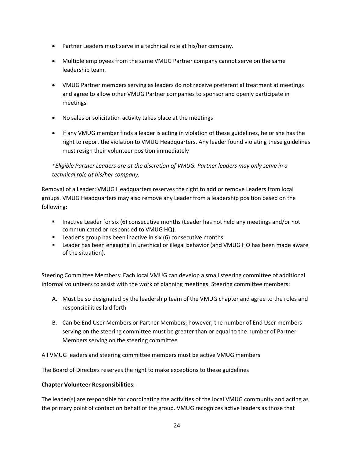- Partner Leaders must serve in a technical role at his/her company.
- Multiple employees from the same VMUG Partner company cannot serve on the same leadership team.
- VMUG Partner members serving as leaders do not receive preferential treatment at meetings and agree to allow other VMUG Partner companies to sponsor and openly participate in meetings
- No sales or solicitation activity takes place at the meetings
- If any VMUG member finds a leader is acting in violation of these guidelines, he or she has the right to report the violation to VMUG Headquarters. Any leader found violating these guidelines must resign their volunteer position immediately

*\*Eligible Partner Leaders are at the discretion of VMUG. Partner leaders may only serve in a technical role at his/her company.*

Removal of a Leader: VMUG Headquarters reserves the right to add or remove Leaders from local groups. VMUG Headquarters may also remove any Leader from a leadership position based on the following:

- Inactive Leader for six (6) consecutive months (Leader has not held any meetings and/or not communicated or responded to VMUG HQ).
- **EXECT** Leader's group has been inactive in six (6) consecutive months.
- Leader has been engaging in unethical or illegal behavior (and VMUG HQ has been made aware of the situation).

Steering Committee Members: Each local VMUG can develop a small steering committee of additional informal volunteers to assist with the work of planning meetings. Steering committee members:

- A. Must be so designated by the leadership team of the VMUG chapter and agree to the roles and responsibilities laid forth
- B. Can be End User Members or Partner Members; however, the number of End User members serving on the steering committee must be greater than or equal to the number of Partner Members serving on the steering committee

All VMUG leaders and steering committee members must be active VMUG members

The Board of Directors reserves the right to make exceptions to these guidelines

# **Chapter Volunteer Responsibilities:**

The leader(s) are responsible for coordinating the activities of the local VMUG community and acting as the primary point of contact on behalf of the group. VMUG recognizes active leaders as those that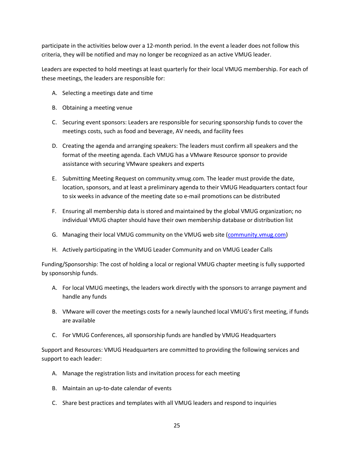participate in the activities below over a 12-month period. In the event a leader does not follow this criteria, they will be notified and may no longer be recognized as an active VMUG leader.

Leaders are expected to hold meetings at least quarterly for their local VMUG membership. For each of these meetings, the leaders are responsible for:

- A. Selecting a meetings date and time
- B. Obtaining a meeting venue
- C. Securing event sponsors: Leaders are responsible for securing sponsorship funds to cover the meetings costs, such as food and beverage, AV needs, and facility fees
- D. Creating the agenda and arranging speakers: The leaders must confirm all speakers and the format of the meeting agenda. Each VMUG has a VMware Resource sponsor to provide assistance with securing VMware speakers and experts
- E. Submitting Meeting Request on community.vmug.com. The leader must provide the date, location, sponsors, and at least a preliminary agenda to their VMUG Headquarters contact four to six weeks in advance of the meeting date so e-mail promotions can be distributed
- F. Ensuring all membership data is stored and maintained by the global VMUG organization; no individual VMUG chapter should have their own membership database or distribution list
- G. Managing their local VMUG community on the VMUG web site [\(community.vmug.com\)](http://www.community.vmug.com/)
- H. Actively participating in the VMUG Leader Community and on VMUG Leader Calls

Funding/Sponsorship: The cost of holding a local or regional VMUG chapter meeting is fully supported by sponsorship funds.

- A. For local VMUG meetings, the leaders work directly with the sponsors to arrange payment and handle any funds
- B. VMware will cover the meetings costs for a newly launched local VMUG's first meeting, if funds are available
- C. For VMUG Conferences, all sponsorship funds are handled by VMUG Headquarters

Support and Resources: VMUG Headquarters are committed to providing the following services and support to each leader:

- A. Manage the registration lists and invitation process for each meeting
- B. Maintain an up-to-date calendar of events
- C. Share best practices and templates with all VMUG leaders and respond to inquiries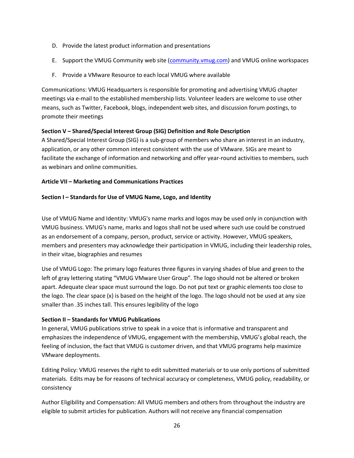- D. Provide the latest product information and presentations
- E. Support the VMUG Community web site [\(community.vmug.com\)](http://www.community.vmug.com/) and VMUG online workspaces
- F. Provide a VMware Resource to each local VMUG where available

Communications: VMUG Headquarters is responsible for promoting and advertising VMUG chapter meetings via e-mail to the established membership lists. Volunteer leaders are welcome to use other means, such as Twitter, Facebook, blogs, independent web sites, and discussion forum postings, to promote their meetings

# **Section V – Shared/Special Interest Group (SIG) Definition and Role Description**

A Shared/Special Interest Group (SIG) is a sub-group of members who share an interest in an industry, application, or any other common interest consistent with the use of VMware. SIGs are meant to facilitate the exchange of information and networking and offer year-round activities to members, such as webinars and online communities.

# **Article VII – Marketing and Communications Practices**

# **Section I – Standards for Use of VMUG Name, Logo, and Identity**

Use of VMUG Name and Identity: VMUG's name marks and logos may be used only in conjunction with VMUG business. VMUG's name, marks and logos shall not be used where such use could be construed as an endorsement of a company, person, product, service or activity. However, VMUG speakers, members and presenters may acknowledge their participation in VMUG, including their leadership roles, in their vitae, biographies and resumes

Use of VMUG Logo: The primary logo features three figures in varying shades of blue and green to the left of gray lettering stating "VMUG VMware User Group". The logo should not be altered or broken apart. Adequate clear space must surround the logo. Do not put text or graphic elements too close to the logo. The clear space (x) is based on the height of the logo. The logo should not be used at any size smaller than .35 inches tall. This ensures legibility of the logo

# **Section II – Standards for VMUG Publications**

In general, VMUG publications strive to speak in a voice that is informative and transparent and emphasizes the independence of VMUG, engagement with the membership, VMUG's global reach, the feeling of inclusion, the fact that VMUG is customer driven, and that VMUG programs help maximize VMware deployments.

Editing Policy: VMUG reserves the right to edit submitted materials or to use only portions of submitted materials. Edits may be for reasons of technical accuracy or completeness, VMUG policy, readability, or consistency

Author Eligibility and Compensation: All VMUG members and others from throughout the industry are eligible to submit articles for publication. Authors will not receive any financial compensation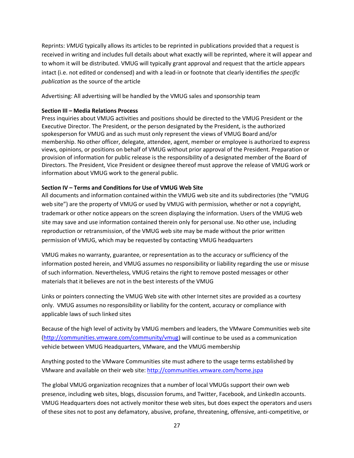Reprints: *VMUG* typically allows its articles to be reprinted in publications provided that a request is received in writing and includes full details about what exactly will be reprinted, where it will appear and to whom it will be distributed. VMUG will typically grant approval and request that the article appears intact (i.e. not edited or condensed) and with a lead-in or footnote that clearly identifies *the specific publication* as the source of the article

Advertising: All advertising will be handled by the VMUG sales and sponsorship team

### **Section III – Media Relations Process**

Press inquiries about VMUG activities and positions should be directed to the VMUG President or the Executive Director. The President, or the person designated by the President, is the authorized spokesperson for VMUG and as such must only represent the views of VMUG Board and/or membership. No other officer, delegate, attendee, agent, member or employee is authorized to express views, opinions, or positions on behalf of VMUG without prior approval of the President. Preparation or provision of information for public release is the responsibility of a designated member of the Board of Directors. The President, Vice President or designee thereof must approve the release of VMUG work or information about VMUG work to the general public.

# **Section IV – Terms and Conditions for Use of VMUG Web Site**

All documents and information contained within the VMUG web site and its subdirectories (the "VMUG web site") are the property of VMUG or used by VMUG with permission, whether or not a copyright, trademark or other notice appears on the screen displaying the information. Users of the VMUG web site may save and use information contained therein only for personal use. No other use, including reproduction or retransmission, of the VMUG web site may be made without the prior written permission of VMUG, which may be requested by contacting VMUG headquarters

VMUG makes no warranty, guarantee, or representation as to the accuracy or sufficiency of the information posted herein, and VMUG assumes no responsibility or liability regarding the use or misuse of such information. Nevertheless, VMUG retains the right to remove posted messages or other materials that it believes are not in the best interests of the VMUG

Links or pointers connecting the VMUG Web site with other Internet sites are provided as a courtesy only. VMUG assumes no responsibility or liability for the content, accuracy or compliance with applicable laws of such linked sites

Because of the high level of activity by VMUG members and leaders, the VMware Communities web site [\(http://communities.vmware.com/community/vmug\)](http://communities.vmware.com/community/vmug) will continue to be used as a communication vehicle between VMUG Headquarters, VMware, and the VMUG membership

Anything posted to the VMware Communities site must adhere to the usage terms established by VMware and available on their web site:<http://communities.vmware.com/home.jspa>

The global VMUG organization recognizes that a number of local VMUGs support their own web presence, including web sites, blogs, discussion forums, and Twitter, Facebook, and LinkedIn accounts. VMUG Headquarters does not actively monitor these web sites, but does expect the operators and users of these sites not to post any defamatory, abusive, profane, threatening, offensive, anti-competitive, or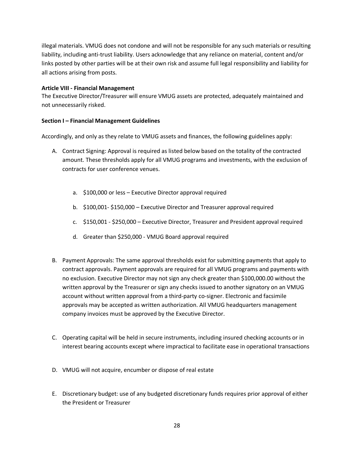illegal materials. VMUG does not condone and will not be responsible for any such materials or resulting liability, including anti-trust liability. Users acknowledge that any reliance on material, content and/or links posted by other parties will be at their own risk and assume full legal responsibility and liability for all actions arising from posts.

#### **Article VIII - Financial Management**

The Executive Director/Treasurer will ensure VMUG assets are protected, adequately maintained and not unnecessarily risked.

### **Section I – Financial Management Guidelines**

Accordingly, and only as they relate to VMUG assets and finances, the following guidelines apply:

- A. Contract Signing: Approval is required as listed below based on the totality of the contracted amount. These thresholds apply for all VMUG programs and investments, with the exclusion of contracts for user conference venues.
	- a. \$100,000 or less Executive Director approval required
	- b. \$100,001- \$150,000 Executive Director and Treasurer approval required
	- c. \$150,001 \$250,000 Executive Director, Treasurer and President approval required
	- d. Greater than \$250,000 VMUG Board approval required
- B. Payment Approvals: The same approval thresholds exist for submitting payments that apply to contract approvals. Payment approvals are required for all VMUG programs and payments with no exclusion. Executive Director may not sign any check greater than \$100,000.00 without the written approval by the Treasurer or sign any checks issued to another signatory on an VMUG account without written approval from a third-party co-signer. Electronic and facsimile approvals may be accepted as written authorization. All VMUG headquarters management company invoices must be approved by the Executive Director.
- C. Operating capital will be held in secure instruments, including insured checking accounts or in interest bearing accounts except where impractical to facilitate ease in operational transactions
- D. VMUG will not acquire, encumber or dispose of real estate
- E. Discretionary budget: use of any budgeted discretionary funds requires prior approval of either the President or Treasurer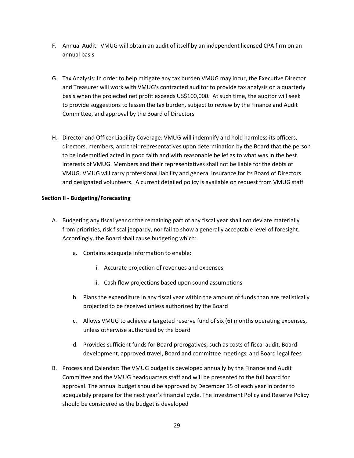- F. Annual Audit: VMUG will obtain an audit of itself by an independent licensed CPA firm on an annual basis
- G. Tax Analysis: In order to help mitigate any tax burden VMUG may incur, the Executive Director and Treasurer will work with VMUG's contracted auditor to provide tax analysis on a quarterly basis when the projected net profit exceeds US\$100,000. At such time, the auditor will seek to provide suggestions to lessen the tax burden, subject to review by the Finance and Audit Committee, and approval by the Board of Directors
- H. Director and Officer Liability Coverage: VMUG will indemnify and hold harmless its officers, directors, members, and their representatives upon determination by the Board that the person to be indemnified acted in good faith and with reasonable belief as to what was in the best interests of VMUG. Members and their representatives shall not be liable for the debts of VMUG. VMUG will carry professional liability and general insurance for its Board of Directors and designated volunteers. A current detailed policy is available on request from VMUG staff

# **Section II - Budgeting/Forecasting**

- A. Budgeting any fiscal year or the remaining part of any fiscal year shall not deviate materially from priorities, risk fiscal jeopardy, nor fail to show a generally acceptable level of foresight. Accordingly, the Board shall cause budgeting which:
	- a. Contains adequate information to enable:
		- i. Accurate projection of revenues and expenses
		- ii. Cash flow projections based upon sound assumptions
	- b. Plans the expenditure in any fiscal year within the amount of funds than are realistically projected to be received unless authorized by the Board
	- c. Allows VMUG to achieve a targeted reserve fund of six (6) months operating expenses, unless otherwise authorized by the board
	- d. Provides sufficient funds for Board prerogatives, such as costs of fiscal audit, Board development, approved travel, Board and committee meetings, and Board legal fees
- B. Process and Calendar: The VMUG budget is developed annually by the Finance and Audit Committee and the VMUG headquarters staff and will be presented to the full board for approval. The annual budget should be approved by December 15 of each year in order to adequately prepare for the next year's financial cycle. The Investment Policy and Reserve Policy should be considered as the budget is developed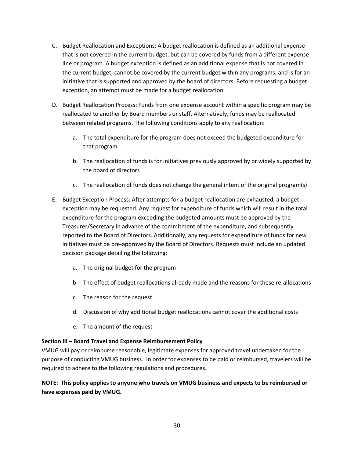- C. Budget Reallocation and Exceptions: A budget reallocation is defined as an additional expense that is not covered in the current budget, but can be covered by funds from a different expense line or program. A budget exception is defined as an additional expense that is not covered in the current budget, cannot be covered by the current budget within any programs, and is for an initiative that is supported and approved by the board of directors. Before requesting a budget exception, an attempt must be made for a budget reallocation
- D. Budget Reallocation Process: Funds from one expense account within a specific program may be reallocated to another by Board members or staff. Alternatively, funds may be reallocated between related programs. The following conditions apply to any reallocation:
	- a. The total expenditure for the program does not exceed the budgeted expenditure for that program
	- b. The reallocation of funds is for initiatives previously approved by or widely supported by the board of directors
	- c. The reallocation of funds does not change the general intent of the original program(s)
- E. Budget Exception Process: After attempts for a budget reallocation are exhausted, a budget exception may be requested. Any request for expenditure of funds which will result in the total expenditure for the program exceeding the budgeted amounts must be approved by the Treasurer/Secretary in advance of the commitment of the expenditure, and subsequently reported to the Board of Directors. Additionally, any requests for expenditure of funds for new initiatives must be pre-approved by the Board of Directors. Requests must include an updated decision package detailing the following:
	- a. The original budget for the program
	- b. The effect of budget reallocations already made and the reasons for these re-allocations
	- c. The reason for the request
	- d. Discussion of why additional budget reallocations cannot cover the additional costs
	- e. The amount of the request

### **Section III – Board Travel and Expense Reimbursement Policy**

VMUG will pay or reimburse reasonable, legitimate expenses for approved travel undertaken for the purpose of conducting VMUG business. In order for expenses to be paid or reimbursed, travelers will be required to adhere to the following regulations and procedures.

**NOTE: This policy applies to anyone who travels on VMUG business and expects to be reimbursed or have expenses paid by VMUG.**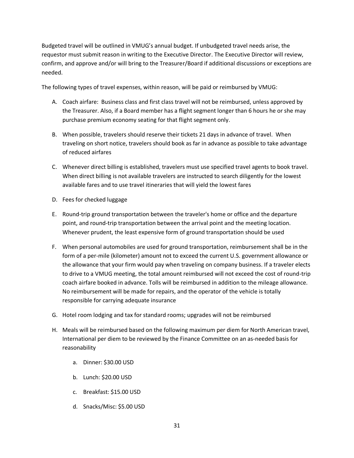Budgeted travel will be outlined in VMUG's annual budget. If unbudgeted travel needs arise, the requestor must submit reason in writing to the Executive Director. The Executive Director will review, confirm, and approve and/or will bring to the Treasurer/Board if additional discussions or exceptions are needed.

The following types of travel expenses, within reason, will be paid or reimbursed by VMUG:

- A. Coach airfare: Business class and first class travel will not be reimbursed, unless approved by the Treasurer. Also, if a Board member has a flight segment longer than 6 hours he or she may purchase premium economy seating for that flight segment only.
- B. When possible, travelers should reserve their tickets 21 days in advance of travel. When traveling on short notice, travelers should book as far in advance as possible to take advantage of reduced airfares
- C. Whenever direct billing is established, travelers must use specified travel agents to book travel. When direct billing is not available travelers are instructed to search diligently for the lowest available fares and to use travel itineraries that will yield the lowest fares
- D. Fees for checked luggage
- E. Round-trip ground transportation between the traveler's home or office and the departure point, and round-trip transportation between the arrival point and the meeting location. Whenever prudent, the least expensive form of ground transportation should be used
- F. When personal automobiles are used for ground transportation, reimbursement shall be in the form of a per-mile (kilometer) amount not to exceed the current U.S. government allowance or the allowance that your firm would pay when traveling on company business. If a traveler elects to drive to a VMUG meeting, the total amount reimbursed will not exceed the cost of round-trip coach airfare booked in advance. Tolls will be reimbursed in addition to the mileage allowance. No reimbursement will be made for repairs, and the operator of the vehicle is totally responsible for carrying adequate insurance
- G. Hotel room lodging and tax for standard rooms; upgrades will not be reimbursed
- H. Meals will be reimbursed based on the following maximum per diem for North American travel, International per diem to be reviewed by the Finance Committee on an as-needed basis for reasonability
	- a. Dinner: \$30.00 USD
	- b. Lunch: \$20.00 USD
	- c. Breakfast: \$15.00 USD
	- d. Snacks/Misc: \$5.00 USD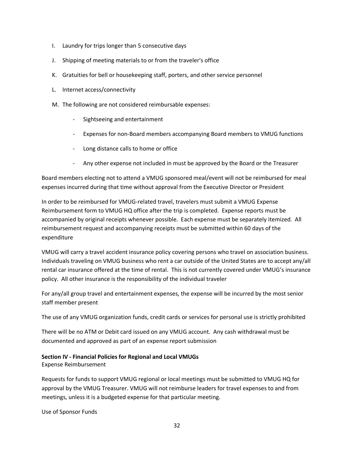- I. Laundry for trips longer than 5 consecutive days
- J. Shipping of meeting materials to or from the traveler's office
- K. Gratuities for bell or housekeeping staff, porters, and other service personnel
- L. Internet access/connectivity
- M. The following are not considered reimbursable expenses:
	- Sightseeing and entertainment
	- Expenses for non-Board members accompanying Board members to VMUG functions
	- Long distance calls to home or office
	- Any other expense not included in must be approved by the Board or the Treasurer

Board members electing not to attend a VMUG sponsored meal/event will not be reimbursed for meal expenses incurred during that time without approval from the Executive Director or President

In order to be reimbursed for VMUG-related travel, travelers must submit a VMUG Expense Reimbursement form to VMUG HQ office after the trip is completed. Expense reports must be accompanied by original receipts whenever possible. Each expense must be separately itemized. All reimbursement request and accompanying receipts must be submitted within 60 days of the expenditure

VMUG will carry a travel accident insurance policy covering persons who travel on association business. Individuals traveling on VMUG business who rent a car outside of the United States are to accept any/all rental car insurance offered at the time of rental. This is not currently covered under VMUG's insurance policy. All other insurance is the responsibility of the individual traveler

For any/all group travel and entertainment expenses, the expense will be incurred by the most senior staff member present

The use of any VMUG organization funds, credit cards or services for personal use is strictly prohibited

There will be no ATM or Debit card issued on any VMUG account. Any cash withdrawal must be documented and approved as part of an expense report submission

### **Section IV - Financial Policies for Regional and Local VMUGs**

Expense Reimbursement

Requests for funds to support VMUG regional or local meetings must be submitted to VMUG HQ for approval by the VMUG Treasurer. VMUG will not reimburse leaders for travel expenses to and from meetings, unless it is a budgeted expense for that particular meeting.

Use of Sponsor Funds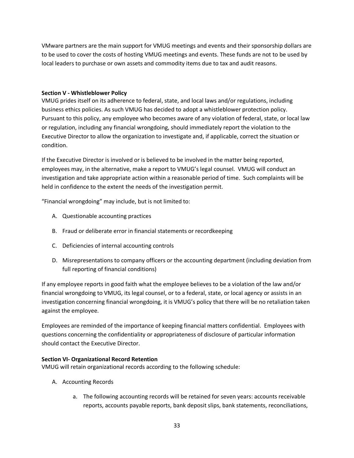VMware partners are the main support for VMUG meetings and events and their sponsorship dollars are to be used to cover the costs of hosting VMUG meetings and events. These funds are not to be used by local leaders to purchase or own assets and commodity items due to tax and audit reasons.

### **Section V - Whistleblower Policy**

VMUG prides itself on its adherence to federal, state, and local laws and/or regulations, including business ethics policies. As such VMUG has decided to adopt a whistleblower protection policy. Pursuant to this policy, any employee who becomes aware of any violation of federal, state, or local law or regulation, including any financial wrongdoing, should immediately report the violation to the Executive Director to allow the organization to investigate and, if applicable, correct the situation or condition.

If the Executive Director is involved or is believed to be involved in the matter being reported, employees may, in the alternative, make a report to VMUG's legal counsel. VMUG will conduct an investigation and take appropriate action within a reasonable period of time. Such complaints will be held in confidence to the extent the needs of the investigation permit.

"Financial wrongdoing" may include, but is not limited to:

- A. Questionable accounting practices
- B. Fraud or deliberate error in financial statements or recordkeeping
- C. Deficiencies of internal accounting controls
- D. Misrepresentations to company officers or the accounting department (including deviation from full reporting of financial conditions)

If any employee reports in good faith what the employee believes to be a violation of the law and/or financial wrongdoing to VMUG, its legal counsel, or to a federal, state, or local agency or assists in an investigation concerning financial wrongdoing, it is VMUG's policy that there will be no retaliation taken against the employee.

Employees are reminded of the importance of keeping financial matters confidential. Employees with questions concerning the confidentiality or appropriateness of disclosure of particular information should contact the Executive Director.

### **Section VI- Organizational Record Retention**

VMUG will retain organizational records according to the following schedule:

- A. Accounting Records
	- a. The following accounting records will be retained for seven years: accounts receivable reports, accounts payable reports, bank deposit slips, bank statements, reconciliations,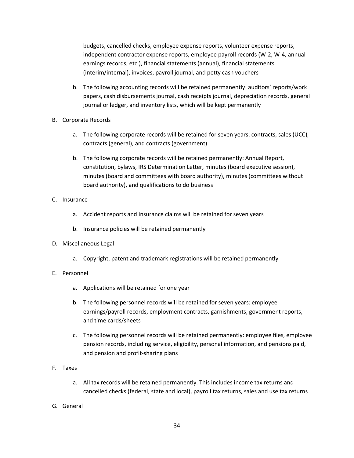budgets, cancelled checks, employee expense reports, volunteer expense reports, independent contractor expense reports, employee payroll records (W-2, W-4, annual earnings records, etc.), financial statements (annual), financial statements (interim/internal), invoices, payroll journal, and petty cash vouchers

- b. The following accounting records will be retained permanently: auditors' reports/work papers, cash disbursements journal, cash receipts journal, depreciation records, general journal or ledger, and inventory lists, which will be kept permanently
- B. Corporate Records
	- a. The following corporate records will be retained for seven years: contracts, sales (UCC), contracts (general), and contracts (government)
	- b. The following corporate records will be retained permanently: Annual Report, constitution, bylaws, IRS Determination Letter, minutes (board executive session), minutes (board and committees with board authority), minutes (committees without board authority), and qualifications to do business
- C. Insurance
	- a. Accident reports and insurance claims will be retained for seven years
	- b. Insurance policies will be retained permanently
- D. Miscellaneous Legal
	- a. Copyright, patent and trademark registrations will be retained permanently
- E. Personnel
	- a. Applications will be retained for one year
	- b. The following personnel records will be retained for seven years: employee earnings/payroll records, employment contracts, garnishments, government reports, and time cards/sheets
	- c. The following personnel records will be retained permanently: employee files, employee pension records, including service, eligibility, personal information, and pensions paid, and pension and profit-sharing plans
- F. Taxes
	- a. All tax records will be retained permanently. This includes income tax returns and cancelled checks (federal, state and local), payroll tax returns, sales and use tax returns
- G. General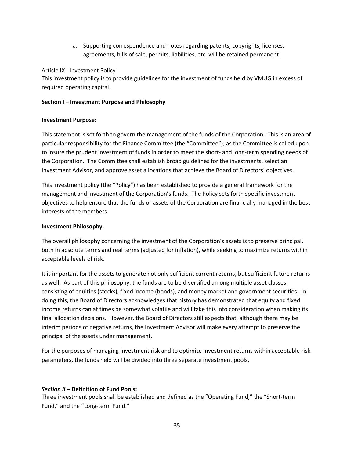a. Supporting correspondence and notes regarding patents, copyrights, licenses, agreements, bills of sale, permits, liabilities, etc. will be retained permanent

Article IX - Investment Policy

This investment policy is to provide guidelines for the investment of funds held by VMUG in excess of required operating capital.

# **Section I – Investment Purpose and Philosophy**

# **Investment Purpose:**

This statement is set forth to govern the management of the funds of the Corporation. This is an area of particular responsibility for the Finance Committee (the "Committee"); as the Committee is called upon to insure the prudent investment of funds in order to meet the short- and long-term spending needs of the Corporation. The Committee shall establish broad guidelines for the investments, select an Investment Advisor, and approve asset allocations that achieve the Board of Directors' objectives.

This investment policy (the "Policy") has been established to provide a general framework for the management and investment of the Corporation's funds. The Policy sets forth specific investment objectives to help ensure that the funds or assets of the Corporation are financially managed in the best interests of the members.

# **Investment Philosophy:**

The overall philosophy concerning the investment of the Corporation's assets is to preserve principal, both in absolute terms and real terms (adjusted for inflation), while seeking to maximize returns within acceptable levels of risk.

It is important for the assets to generate not only sufficient current returns, but sufficient future returns as well. As part of this philosophy, the funds are to be diversified among multiple asset classes, consisting of equities (stocks), fixed income (bonds), and money market and government securities. In doing this, the Board of Directors acknowledges that history has demonstrated that equity and fixed income returns can at times be somewhat volatile and will take this into consideration when making its final allocation decisions. However, the Board of Directors still expects that, although there may be interim periods of negative returns, the Investment Advisor will make every attempt to preserve the principal of the assets under management.

For the purposes of managing investment risk and to optimize investment returns within acceptable risk parameters, the funds held will be divided into three separate investment pools.

# *Section II –* **Definition of Fund Pools:**

Three investment pools shall be established and defined as the "Operating Fund," the "Short-term Fund," and the "Long-term Fund."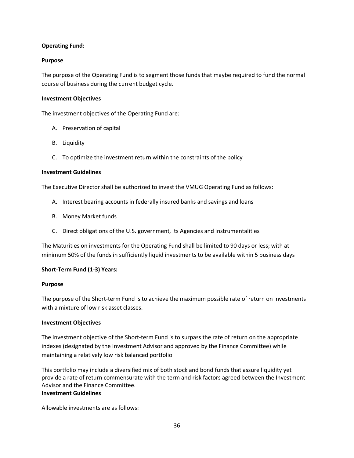# **Operating Fund:**

### **Purpose**

The purpose of the Operating Fund is to segment those funds that maybe required to fund the normal course of business during the current budget cycle.

#### **Investment Objectives**

The investment objectives of the Operating Fund are:

- A. Preservation of capital
- B. Liquidity
- C. To optimize the investment return within the constraints of the policy

#### **Investment Guidelines**

The Executive Director shall be authorized to invest the VMUG Operating Fund as follows:

- A. Interest bearing accounts in federally insured banks and savings and loans
- B. Money Market funds
- C. Direct obligations of the U.S. government, its Agencies and instrumentalities

The Maturities on investments for the Operating Fund shall be limited to 90 days or less; with at minimum 50% of the funds in sufficiently liquid investments to be available within 5 business days

### **Short-Term Fund (1-3) Years:**

#### **Purpose**

The purpose of the Short-term Fund is to achieve the maximum possible rate of return on investments with a mixture of low risk asset classes.

#### **Investment Objectives**

The investment objective of the Short-term Fund is to surpass the rate of return on the appropriate indexes (designated by the Investment Advisor and approved by the Finance Committee) while maintaining a relatively low risk balanced portfolio

This portfolio may include a diversified mix of both stock and bond funds that assure liquidity yet provide a rate of return commensurate with the term and risk factors agreed between the Investment Advisor and the Finance Committee.

### **Investment Guidelines**

Allowable investments are as follows: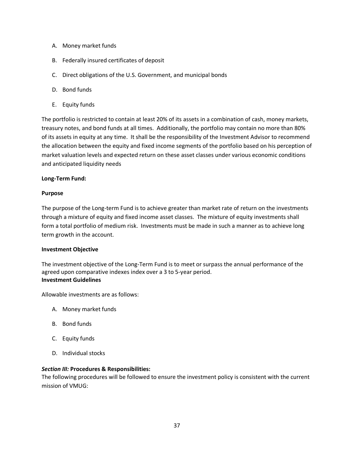- A. Money market funds
- B. Federally insured certificates of deposit
- C. Direct obligations of the U.S. Government, and municipal bonds
- D. Bond funds
- E. Equity funds

The portfolio is restricted to contain at least 20% of its assets in a combination of cash, money markets, treasury notes, and bond funds at all times. Additionally, the portfolio may contain no more than 80% of its assets in equity at any time. It shall be the responsibility of the Investment Advisor to recommend the allocation between the equity and fixed income segments of the portfolio based on his perception of market valuation levels and expected return on these asset classes under various economic conditions and anticipated liquidity needs

### **Long-Term Fund:**

### **Purpose**

The purpose of the Long-term Fund is to achieve greater than market rate of return on the investments through a mixture of equity and fixed income asset classes. The mixture of equity investments shall form a total portfolio of medium risk. Investments must be made in such a manner as to achieve long term growth in the account.

### **Investment Objective**

The investment objective of the Long-Term Fund is to meet or surpass the annual performance of the agreed upon comparative indexes index over a 3 to 5-year period. **Investment Guidelines**

Allowable investments are as follows:

- A. Money market funds
- B. Bond funds
- C. Equity funds
- D. Individual stocks

### *Section III:* **Procedures & Responsibilities:**

The following procedures will be followed to ensure the investment policy is consistent with the current mission of VMUG: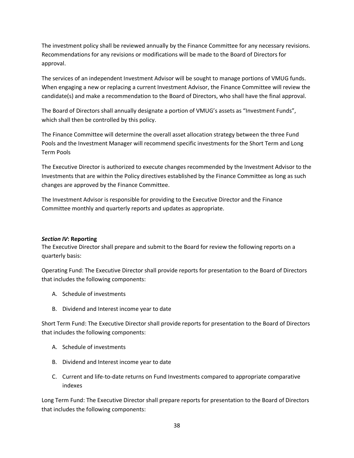The investment policy shall be reviewed annually by the Finance Committee for any necessary revisions. Recommendations for any revisions or modifications will be made to the Board of Directors for approval.

The services of an independent Investment Advisor will be sought to manage portions of VMUG funds. When engaging a new or replacing a current Investment Advisor, the Finance Committee will review the candidate(s) and make a recommendation to the Board of Directors, who shall have the final approval.

The Board of Directors shall annually designate a portion of VMUG's assets as "Investment Funds", which shall then be controlled by this policy.

The Finance Committee will determine the overall asset allocation strategy between the three Fund Pools and the Investment Manager will recommend specific investments for the Short Term and Long Term Pools

The Executive Director is authorized to execute changes recommended by the Investment Advisor to the Investments that are within the Policy directives established by the Finance Committee as long as such changes are approved by the Finance Committee.

The Investment Advisor is responsible for providing to the Executive Director and the Finance Committee monthly and quarterly reports and updates as appropriate.

### *Section IV***: Reporting**

The Executive Director shall prepare and submit to the Board for review the following reports on a quarterly basis:

Operating Fund: The Executive Director shall provide reports for presentation to the Board of Directors that includes the following components:

- A. Schedule of investments
- B. Dividend and Interest income year to date

Short Term Fund: The Executive Director shall provide reports for presentation to the Board of Directors that includes the following components:

- A. Schedule of investments
- B. Dividend and Interest income year to date
- C. Current and life-to-date returns on Fund Investments compared to appropriate comparative indexes

Long Term Fund: The Executive Director shall prepare reports for presentation to the Board of Directors that includes the following components: